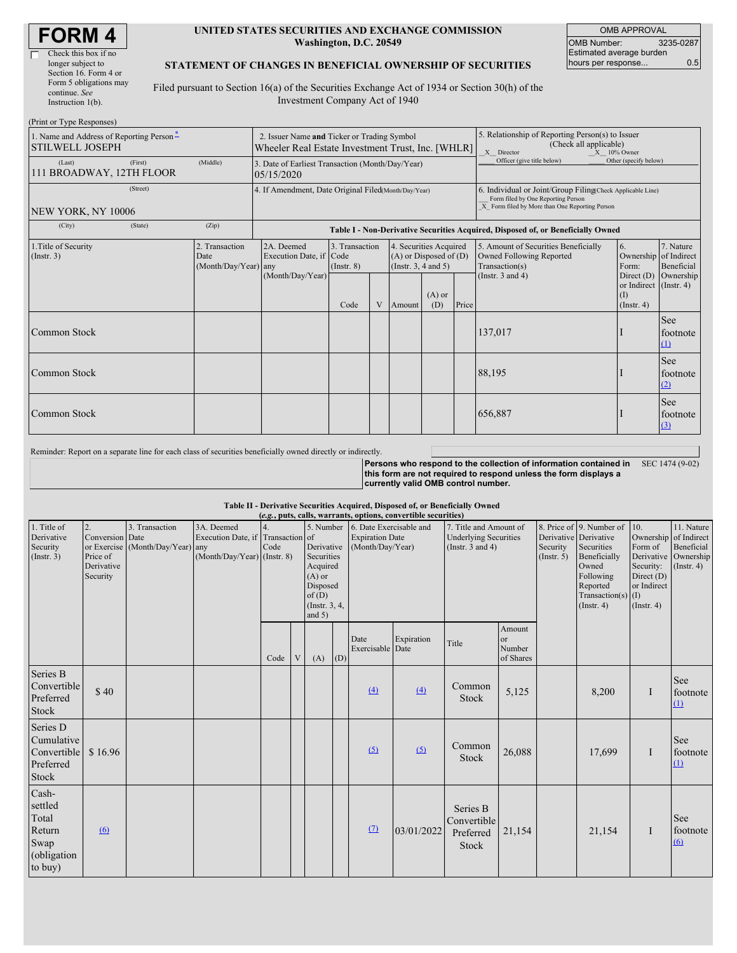| <b>FORM4</b> |  |
|--------------|--|
|--------------|--|

#### **UNITED STATES SECURITIES AND EXCHANGE COMMISSION Washington, D.C. 20549**

OMB APPROVAL OMB Number: 3235-0287 Estimated average burden hours per response... 0.5

### **STATEMENT OF CHANGES IN BENEFICIAL OWNERSHIP OF SECURITIES**

Filed pursuant to Section 16(a) of the Securities Exchange Act of 1934 or Section 30(h) of the Investment Company Act of 1940

| (Print or Type Responses)                                          |         |                                                                                                  |                                                                                              |                                   |   |                                                                                  |                                                                                                                                                    |       |                                                                                    |                                                                   |                             |
|--------------------------------------------------------------------|---------|--------------------------------------------------------------------------------------------------|----------------------------------------------------------------------------------------------|-----------------------------------|---|----------------------------------------------------------------------------------|----------------------------------------------------------------------------------------------------------------------------------------------------|-------|------------------------------------------------------------------------------------|-------------------------------------------------------------------|-----------------------------|
| 1. Name and Address of Reporting Person-<br><b>STILWELL JOSEPH</b> |         | 2. Issuer Name and Ticker or Trading Symbol<br>Wheeler Real Estate Investment Trust, Inc. [WHLR] |                                                                                              |                                   |   |                                                                                  | 5. Relationship of Reporting Person(s) to Issuer<br>(Check all applicable)<br>X Director<br>X 10% Owner                                            |       |                                                                                    |                                                                   |                             |
| (Last)<br>111 BROADWAY, 12TH FLOOR                                 | (First) | (Middle)                                                                                         | Officer (give title below)<br>3. Date of Earliest Transaction (Month/Day/Year)<br>05/15/2020 |                                   |   |                                                                                  | Other (specify below)                                                                                                                              |       |                                                                                    |                                                                   |                             |
| NEW YORK, NY 10006                                                 |         | 4. If Amendment, Date Original Filed(Month/Day/Year)                                             |                                                                                              |                                   |   |                                                                                  | 6. Individual or Joint/Group Filing Check Applicable Line)<br>Form filed by One Reporting Person<br>X Form filed by More than One Reporting Person |       |                                                                                    |                                                                   |                             |
| (City)                                                             | (State) | (Zip)                                                                                            |                                                                                              |                                   |   |                                                                                  |                                                                                                                                                    |       | Table I - Non-Derivative Securities Acquired, Disposed of, or Beneficially Owned   |                                                                   |                             |
| 1. Title of Security<br>(Insert. 3)                                |         | 2. Transaction<br>Date<br>(Month/Day/Year) any                                                   | 2A. Deemed<br>Execution Date, if Code                                                        | 3. Transaction<br>$($ Instr. $8)$ |   | 4. Securities Acquired<br>$(A)$ or Disposed of $(D)$<br>(Instr. $3, 4$ and $5$ ) |                                                                                                                                                    |       | 5. Amount of Securities Beneficially<br>Owned Following Reported<br>Transaction(s) | <sup>6.</sup><br>Ownership of Indirect<br>Form:                   | 7. Nature<br>Beneficial     |
|                                                                    |         |                                                                                                  | (Month/Day/Year)                                                                             | Code                              | V | Amount                                                                           | $(A)$ or<br>(D)                                                                                                                                    | Price | (Instr. $3$ and $4$ )                                                              | Direct $(D)$<br>or Indirect (Instr. 4)<br>(1)<br>$($ Instr. 4 $)$ | Ownership                   |
| Common Stock                                                       |         |                                                                                                  |                                                                                              |                                   |   |                                                                                  |                                                                                                                                                    |       | 137,017                                                                            |                                                                   | See<br>footnote<br>$\Omega$ |
| Common Stock                                                       |         |                                                                                                  |                                                                                              |                                   |   |                                                                                  |                                                                                                                                                    |       | 88,195                                                                             |                                                                   | See<br>footnote<br>(2)      |
| Common Stock                                                       |         |                                                                                                  |                                                                                              |                                   |   |                                                                                  |                                                                                                                                                    |       | 656,887                                                                            |                                                                   | See<br>footnote<br>(3)      |

Reminder: Report on a separate line for each class of securities beneficially owned directly or indirectly.

**Persons who respond to the collection of information contained in** SEC 1474 (9-02) **this form are not required to respond unless the form displays a currently valid OMB control number.**

### **Table II - Derivative Securities Acquired, Disposed of, or Beneficially Owned**

|                                                                       |                                                             |                                                    |                                                                                  |      |   |                                                                                                      |     |                                                                                 | (e.g., puts, calls, warrants, options, convertible securities) |                                                                                 |                                     |                         |                                                                                                                                                          |                                                                                                                |                                                           |
|-----------------------------------------------------------------------|-------------------------------------------------------------|----------------------------------------------------|----------------------------------------------------------------------------------|------|---|------------------------------------------------------------------------------------------------------|-----|---------------------------------------------------------------------------------|----------------------------------------------------------------|---------------------------------------------------------------------------------|-------------------------------------|-------------------------|----------------------------------------------------------------------------------------------------------------------------------------------------------|----------------------------------------------------------------------------------------------------------------|-----------------------------------------------------------|
| 1. Title of<br>Derivative<br>Security<br>(Insert. 3)                  | 2.<br>Conversion Date<br>Price of<br>Derivative<br>Security | 3. Transaction<br>or Exercise (Month/Day/Year) any | 3A. Deemed<br>Execution Date, if Transaction of<br>$(Month/Day/Year)$ (Instr. 8) | Code |   | Derivative<br>Securities<br>Acquired<br>$(A)$ or<br>Disposed<br>of(D)<br>(Instr. $3, 4,$<br>and $5)$ |     | 5. Number 6. Date Exercisable and<br><b>Expiration Date</b><br>(Month/Day/Year) |                                                                | 7. Title and Amount of<br><b>Underlying Securities</b><br>(Instr. $3$ and $4$ ) |                                     | Security<br>(Insert. 5) | 8. Price of 9. Number of<br>Derivative Derivative<br>Securities<br>Beneficially<br>Owned<br>Following<br>Reported<br>Transaction(s) $(I)$<br>(Insert. 4) | 10.<br>Ownership of Indirect<br>Form of<br>Derivative<br>Security:<br>Direct (D)<br>or Indirect<br>(Insert. 4) | 11. Nature<br>Beneficial<br>Ownership<br>$($ Instr. 4 $)$ |
|                                                                       |                                                             |                                                    |                                                                                  | Code | V | (A)                                                                                                  | (D) | Date<br>Exercisable Date                                                        | Expiration                                                     | Title                                                                           | Amount<br>or<br>Number<br>of Shares |                         |                                                                                                                                                          |                                                                                                                |                                                           |
| Series B<br>Convertible<br>Preferred<br>Stock                         | \$40                                                        |                                                    |                                                                                  |      |   |                                                                                                      |     | (4)                                                                             | (4)                                                            | Common<br>Stock                                                                 | 5,125                               |                         | 8,200                                                                                                                                                    | 1                                                                                                              | See<br>footnote<br>(1)                                    |
| Series D<br>Cumulative<br>Convertible<br>Preferred<br>Stock           | \$16.96                                                     |                                                    |                                                                                  |      |   |                                                                                                      |     | (5)                                                                             | (5)                                                            | Common<br>Stock                                                                 | 26,088                              |                         | 17,699                                                                                                                                                   | Ι                                                                                                              | See<br>footnote<br>(1)                                    |
| Cash-<br>settled<br>Total<br>Return<br>Swap<br>(obligation<br>to buy) | 6                                                           |                                                    |                                                                                  |      |   |                                                                                                      |     | $\Omega$                                                                        | 03/01/2022                                                     | Series B<br>Convertible<br>Preferred<br>Stock                                   | 21,154                              |                         | 21,154                                                                                                                                                   | Ι.                                                                                                             | See<br>footnote<br>(6)                                    |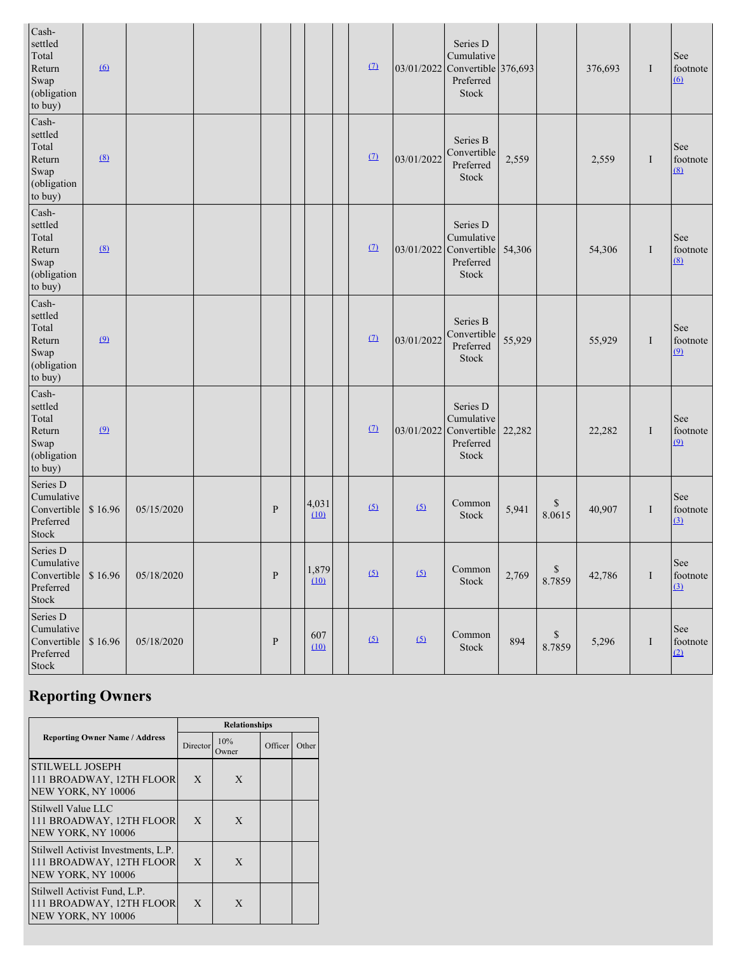| Cash-<br>settled<br>Total<br>Return<br>Swap<br>(obligation<br>to buy) | $\Omega$ |            |              |               | (7)      |            | Series D<br>Cumulative<br>03/01/2022 Convertible 376,693<br>Preferred<br>Stock |        |              | 376,693 | $\bf{I}$ | See<br>footnote<br>(6)            |
|-----------------------------------------------------------------------|----------|------------|--------------|---------------|----------|------------|--------------------------------------------------------------------------------|--------|--------------|---------|----------|-----------------------------------|
| Cash-<br>settled<br>Total<br>Return<br>Swap<br>(obligation<br>to buy) | (8)      |            |              |               | (7)      | 03/01/2022 | Series B<br>Convertible<br>Preferred<br>Stock                                  | 2,559  |              | 2,559   | I        | See<br>footnote<br>(8)            |
| Cash-<br>settled<br>Total<br>Return<br>Swap<br>(obligation<br>to buy) | (8)      |            |              |               | (7)      |            | Series D<br>Cumulative<br>03/01/2022 Convertible<br>Preferred<br>Stock         | 54,306 |              | 54,306  | I        | See<br>footnote<br>(8)            |
| Cash-<br>settled<br>Total<br>Return<br>Swap<br>(obligation<br>to buy) | $\Omega$ |            |              |               | (7)      | 03/01/2022 | Series B<br>Convertible<br>Preferred<br>Stock                                  | 55,929 |              | 55,929  | I        | See<br>footnote<br>$\overline{9}$ |
| Cash-<br>settled<br>Total<br>Return<br>Swap<br>(obligation<br>to buy) | $\Omega$ |            |              |               | $\Omega$ | 03/01/2022 | Series D<br>Cumulative<br>Convertible<br>Preferred<br>Stock                    | 22,282 |              | 22,282  | I        | See<br>footnote<br>$\overline{9}$ |
| Series D<br>Cumulative<br>Convertible<br>Preferred<br>Stock           | \$16.96  | 05/15/2020 | $\mathbf{P}$ | 4,031<br>(10) | (5)      | (5)        | Common<br>Stock                                                                | 5,941  | \$<br>8.0615 | 40,907  | I        | See<br>footnote<br>(3)            |
| Series D<br>Cumulative<br>Convertible<br>Preferred<br>Stock           | \$16.96  | 05/18/2020 | ${\bf P}$    | 1,879<br>(10) | (5)      | (5)        | Common<br>Stock                                                                | 2,769  | \$<br>8.7859 | 42,786  | I        | See<br>footnote<br>$\Omega$       |
| Series D<br>Cumulative<br>Convertible<br>Preferred<br>Stock           | \$16.96  | 05/18/2020 | $\, {\bf P}$ | 607<br>(10)   | (5)      | (5)        | Common<br>Stock                                                                | 894    | \$<br>8.7859 | 5,296   | I        | See<br>footnote<br>(2)            |

# **Reporting Owners**

|                                                                                       |                 | <b>Relationships</b> |         |       |
|---------------------------------------------------------------------------------------|-----------------|----------------------|---------|-------|
| <b>Reporting Owner Name / Address</b>                                                 | <b>Director</b> | 10%<br>Owner         | Officer | Other |
| <b>STILWELL JOSEPH</b><br>111 BROADWAY, 12TH FLOOR<br>NEW YORK, NY 10006              | X               | X                    |         |       |
| Stilwell Value LLC<br>111 BROADWAY, 12TH FLOOR<br>NEW YORK, NY 10006                  | $\mathbf{X}$    | X                    |         |       |
| Stilwell Activist Investments, L.P.<br>111 BROADWAY, 12TH FLOOR<br>NEW YORK, NY 10006 | X               | X                    |         |       |
| Stilwell Activist Fund, L.P.<br>111 BROADWAY, 12TH FLOOR<br>NEW YORK, NY 10006        | X               | X                    |         |       |